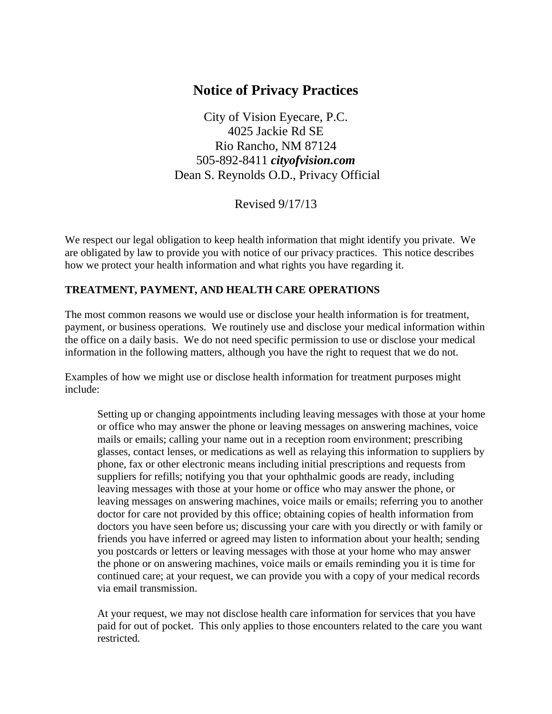# **Notice of Privacy Practices**

City of Vision Eyecare, P.C. 4025 Jackie Rd SE Rio Rancho, NM 87124 505-892-8411 *cityofvision.com* Dean S. Reynolds O.D., Privacy Official

Revised 9/17/13

We respect our legal obligation to keep health information that might identify you private. We are obligated by law to provide you with notice of our privacy practices. This notice describes how we protect your health information and what rights you have regarding it.

#### **TREATMENT, PAYMENT, AND HEALTH CARE OPERATIONS**

The most common reasons we would use or disclose your health information is for treatment, payment, or business operations. We routinely use and disclose your medical information within the office on a daily basis. We do not need specific permission to use or disclose your medical information in the following matters, although you have the right to request that we do not.

Examples of how we might use or disclose health information for treatment purposes might include:

Setting up or changing appointments including leaving messages with those at your home or office who may answer the phone or leaving messages on answering machines, voice mails or emails; calling your name out in a reception room environment; prescribing glasses, contact lenses, or medications as well as relaying this information to suppliers by phone, fax or other electronic means including initial prescriptions and requests from suppliers for refills; notifying you that your ophthalmic goods are ready, including leaving messages with those at your home or office who may answer the phone, or leaving messages on answering machines, voice mails or emails; referring you to another doctor for care not provided by this office; obtaining copies of health information from doctors you have seen before us; discussing your care with you directly or with family or friends you have inferred or agreed may listen to information about your health; sending you postcards or letters or leaving messages with those at your home who may answer the phone or on answering machines, voice mails or emails reminding you it is time for continued care; at your request, we can provide you with a copy of your medical records via email transmission.

At your request, we may not disclose health care information for services that you have paid for out of pocket. This only applies to those encounters related to the care you want restricted.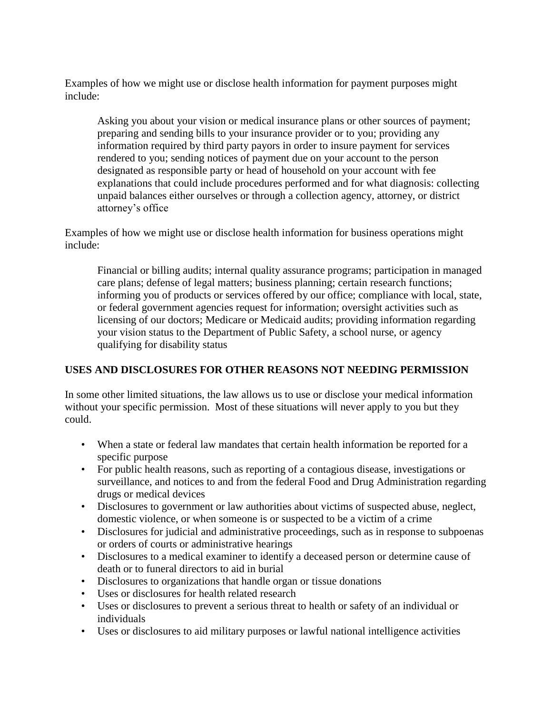Examples of how we might use or disclose health information for payment purposes might include:

Asking you about your vision or medical insurance plans or other sources of payment; preparing and sending bills to your insurance provider or to you; providing any information required by third party payors in order to insure payment for services rendered to you; sending notices of payment due on your account to the person designated as responsible party or head of household on your account with fee explanations that could include procedures performed and for what diagnosis: collecting unpaid balances either ourselves or through a collection agency, attorney, or district attorney's office

Examples of how we might use or disclose health information for business operations might include:

Financial or billing audits; internal quality assurance programs; participation in managed care plans; defense of legal matters; business planning; certain research functions; informing you of products or services offered by our office; compliance with local, state, or federal government agencies request for information; oversight activities such as licensing of our doctors; Medicare or Medicaid audits; providing information regarding your vision status to the Department of Public Safety, a school nurse, or agency qualifying for disability status

## **USES AND DISCLOSURES FOR OTHER REASONS NOT NEEDING PERMISSION**

In some other limited situations, the law allows us to use or disclose your medical information without your specific permission. Most of these situations will never apply to you but they could.

- When a state or federal law mandates that certain health information be reported for a specific purpose
- For public health reasons, such as reporting of a contagious disease, investigations or surveillance, and notices to and from the federal Food and Drug Administration regarding drugs or medical devices
- Disclosures to government or law authorities about victims of suspected abuse, neglect, domestic violence, or when someone is or suspected to be a victim of a crime
- Disclosures for judicial and administrative proceedings, such as in response to subpoenas or orders of courts or administrative hearings
- Disclosures to a medical examiner to identify a deceased person or determine cause of death or to funeral directors to aid in burial
- Disclosures to organizations that handle organ or tissue donations
- Uses or disclosures for health related research
- Uses or disclosures to prevent a serious threat to health or safety of an individual or individuals
- Uses or disclosures to aid military purposes or lawful national intelligence activities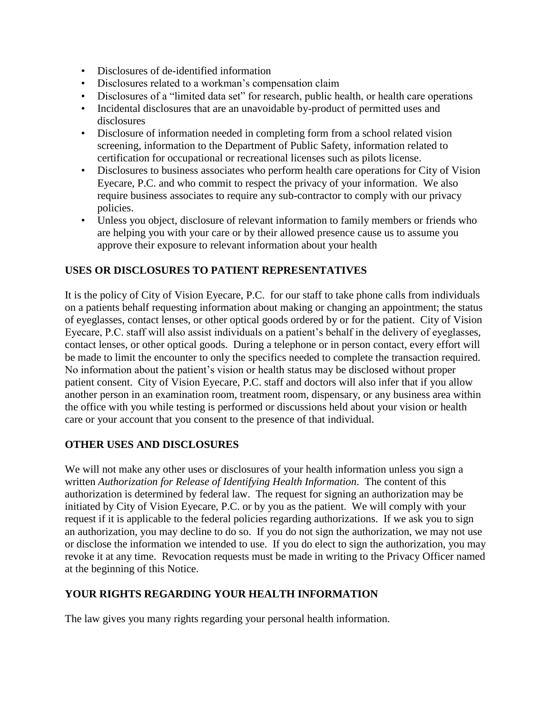- Disclosures of de-identified information
- Disclosures related to a workman's compensation claim
- Disclosures of a "limited data set" for research, public health, or health care operations
- Incidental disclosures that are an unavoidable by-product of permitted uses and disclosures
- Disclosure of information needed in completing form from a school related vision screening, information to the Department of Public Safety, information related to certification for occupational or recreational licenses such as pilots license.
- Disclosures to business associates who perform health care operations for City of Vision Eyecare, P.C. and who commit to respect the privacy of your information. We also require business associates to require any sub-contractor to comply with our privacy policies.
- Unless you object, disclosure of relevant information to family members or friends who are helping you with your care or by their allowed presence cause us to assume you approve their exposure to relevant information about your health

### **USES OR DISCLOSURES TO PATIENT REPRESENTATIVES**

It is the policy of City of Vision Eyecare, P.C. for our staff to take phone calls from individuals on a patients behalf requesting information about making or changing an appointment; the status of eyeglasses, contact lenses, or other optical goods ordered by or for the patient. City of Vision Eyecare, P.C. staff will also assist individuals on a patient's behalf in the delivery of eyeglasses, contact lenses, or other optical goods. During a telephone or in person contact, every effort will be made to limit the encounter to only the specifics needed to complete the transaction required. No information about the patient's vision or health status may be disclosed without proper patient consent. City of Vision Eyecare, P.C. staff and doctors will also infer that if you allow another person in an examination room, treatment room, dispensary, or any business area within the office with you while testing is performed or discussions held about your vision or health care or your account that you consent to the presence of that individual.

#### **OTHER USES AND DISCLOSURES**

We will not make any other uses or disclosures of your health information unless you sign a written *Authorization for Release of Identifying Health Information*. The content of this authorization is determined by federal law. The request for signing an authorization may be initiated by City of Vision Eyecare, P.C. or by you as the patient. We will comply with your request if it is applicable to the federal policies regarding authorizations. If we ask you to sign an authorization, you may decline to do so. If you do not sign the authorization, we may not use or disclose the information we intended to use. If you do elect to sign the authorization, you may revoke it at any time. Revocation requests must be made in writing to the Privacy Officer named at the beginning of this Notice.

#### **YOUR RIGHTS REGARDING YOUR HEALTH INFORMATION**

The law gives you many rights regarding your personal health information.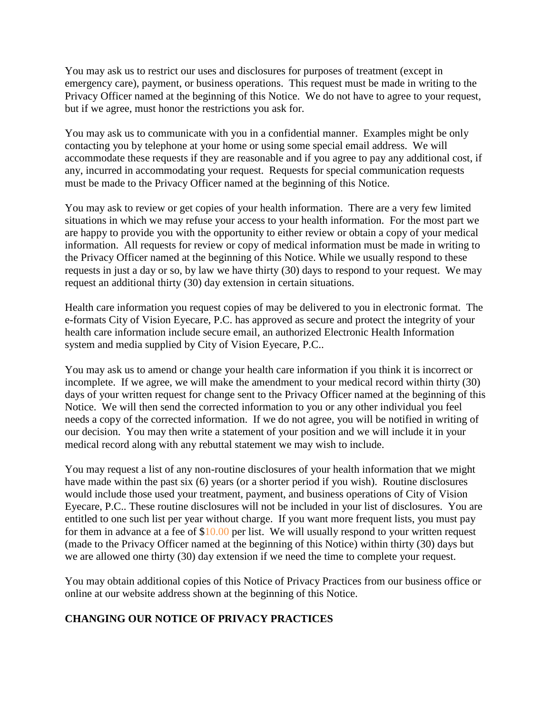You may ask us to restrict our uses and disclosures for purposes of treatment (except in emergency care), payment, or business operations. This request must be made in writing to the Privacy Officer named at the beginning of this Notice. We do not have to agree to your request, but if we agree, must honor the restrictions you ask for.

You may ask us to communicate with you in a confidential manner. Examples might be only contacting you by telephone at your home or using some special email address. We will accommodate these requests if they are reasonable and if you agree to pay any additional cost, if any, incurred in accommodating your request. Requests for special communication requests must be made to the Privacy Officer named at the beginning of this Notice.

You may ask to review or get copies of your health information. There are a very few limited situations in which we may refuse your access to your health information. For the most part we are happy to provide you with the opportunity to either review or obtain a copy of your medical information. All requests for review or copy of medical information must be made in writing to the Privacy Officer named at the beginning of this Notice. While we usually respond to these requests in just a day or so, by law we have thirty (30) days to respond to your request. We may request an additional thirty (30) day extension in certain situations.

Health care information you request copies of may be delivered to you in electronic format. The e-formats City of Vision Eyecare, P.C. has approved as secure and protect the integrity of your health care information include secure email, an authorized Electronic Health Information system and media supplied by City of Vision Eyecare, P.C..

You may ask us to amend or change your health care information if you think it is incorrect or incomplete. If we agree, we will make the amendment to your medical record within thirty (30) days of your written request for change sent to the Privacy Officer named at the beginning of this Notice. We will then send the corrected information to you or any other individual you feel needs a copy of the corrected information. If we do not agree, you will be notified in writing of our decision. You may then write a statement of your position and we will include it in your medical record along with any rebuttal statement we may wish to include.

You may request a list of any non-routine disclosures of your health information that we might have made within the past six (6) years (or a shorter period if you wish). Routine disclosures would include those used your treatment, payment, and business operations of City of Vision Eyecare, P.C.. These routine disclosures will not be included in your list of disclosures. You are entitled to one such list per year without charge. If you want more frequent lists, you must pay for them in advance at a fee of \$10.00 per list. We will usually respond to your written request (made to the Privacy Officer named at the beginning of this Notice) within thirty (30) days but we are allowed one thirty (30) day extension if we need the time to complete your request.

You may obtain additional copies of this Notice of Privacy Practices from our business office or online at our website address shown at the beginning of this Notice.

#### **CHANGING OUR NOTICE OF PRIVACY PRACTICES**